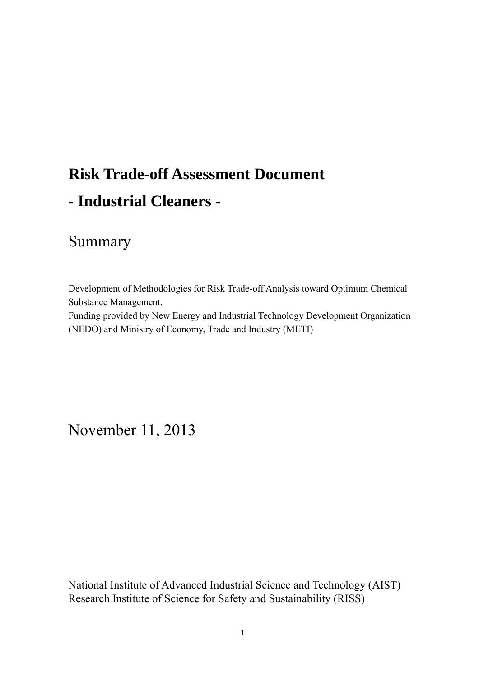# **Risk Trade-off Assessment Document - Industrial Cleaners -**

# Summary

Development of Methodologies for Risk Trade-off Analysis toward Optimum Chemical Substance Management,

Funding provided by New Energy and Industrial Technology Development Organization (NEDO) and Ministry of Economy, Trade and Industry (METI)

November 11, 2013

National Institute of Advanced Industrial Science and Technology (AIST) Research Institute of Science for Safety and Sustainability (RISS)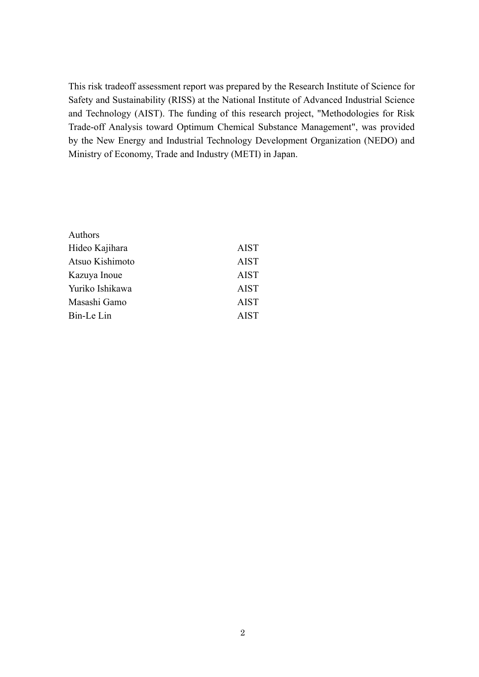This risk tradeoff assessment report was prepared by the Research Institute of Science for Safety and Sustainability (RISS) at the National Institute of Advanced Industrial Science and Technology (AIST). The funding of this research project, "Methodologies for Risk Trade-off Analysis toward Optimum Chemical Substance Management", was provided by the New Energy and Industrial Technology Development Organization (NEDO) and Ministry of Economy, Trade and Industry (METI) in Japan.

| Authors         |             |
|-----------------|-------------|
| Hideo Kajihara  | <b>AIST</b> |
| Atsuo Kishimoto | <b>AIST</b> |
| Kazuya Inoue    | <b>AIST</b> |
| Yuriko Ishikawa | <b>AIST</b> |
| Masashi Gamo    | <b>AIST</b> |
| Bin-Le Lin      | <b>AIST</b> |
|                 |             |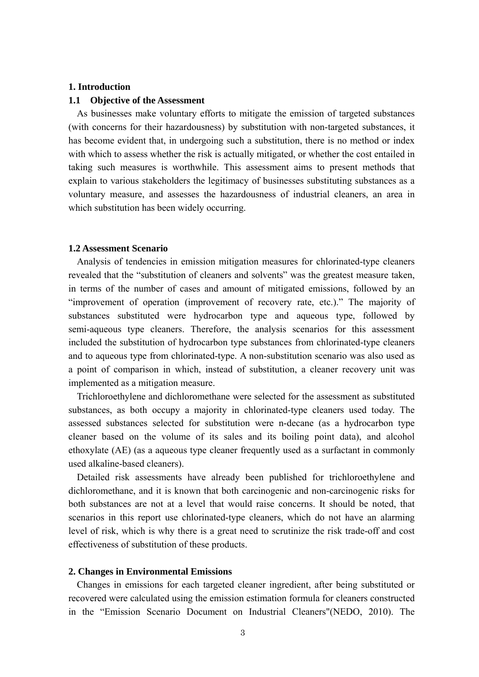#### **1. Introduction**

#### **1.1 Objective of the Assessment**

As businesses make voluntary efforts to mitigate the emission of targeted substances (with concerns for their hazardousness) by substitution with non-targeted substances, it has become evident that, in undergoing such a substitution, there is no method or index with which to assess whether the risk is actually mitigated, or whether the cost entailed in taking such measures is worthwhile. This assessment aims to present methods that explain to various stakeholders the legitimacy of businesses substituting substances as a voluntary measure, and assesses the hazardousness of industrial cleaners, an area in which substitution has been widely occurring.

#### **1.2 Assessment Scenario**

Analysis of tendencies in emission mitigation measures for chlorinated-type cleaners revealed that the "substitution of cleaners and solvents" was the greatest measure taken, in terms of the number of cases and amount of mitigated emissions, followed by an "improvement of operation (improvement of recovery rate, etc.)." The majority of substances substituted were hydrocarbon type and aqueous type, followed by semi-aqueous type cleaners. Therefore, the analysis scenarios for this assessment included the substitution of hydrocarbon type substances from chlorinated-type cleaners and to aqueous type from chlorinated-type. A non-substitution scenario was also used as a point of comparison in which, instead of substitution, a cleaner recovery unit was implemented as a mitigation measure.

Trichloroethylene and dichloromethane were selected for the assessment as substituted substances, as both occupy a majority in chlorinated-type cleaners used today. The assessed substances selected for substitution were n-decane (as a hydrocarbon type cleaner based on the volume of its sales and its boiling point data), and alcohol ethoxylate (AE) (as a aqueous type cleaner frequently used as a surfactant in commonly used alkaline-based cleaners).

Detailed risk assessments have already been published for trichloroethylene and dichloromethane, and it is known that both carcinogenic and non-carcinogenic risks for both substances are not at a level that would raise concerns. It should be noted, that scenarios in this report use chlorinated-type cleaners, which do not have an alarming level of risk, which is why there is a great need to scrutinize the risk trade-off and cost effectiveness of substitution of these products.

#### **2. Changes in Environmental Emissions**

Changes in emissions for each targeted cleaner ingredient, after being substituted or recovered were calculated using the emission estimation formula for cleaners constructed in the "Emission Scenario Document on Industrial Cleaners"(NEDO, 2010). The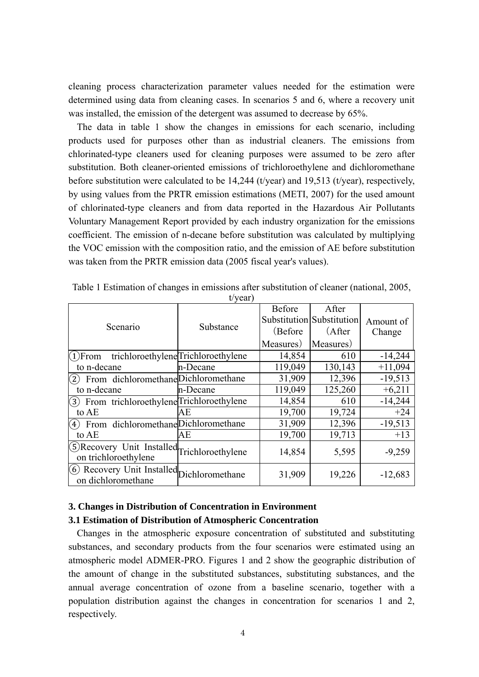cleaning process characterization parameter values needed for the estimation were determined using data from cleaning cases. In scenarios 5 and 6, where a recovery unit was installed, the emission of the detergent was assumed to decrease by 65%.

The data in table 1 show the changes in emissions for each scenario, including products used for purposes other than as industrial cleaners. The emissions from chlorinated-type cleaners used for cleaning purposes were assumed to be zero after substitution. Both cleaner-oriented emissions of trichloroethylene and dichloromethane before substitution were calculated to be 14,244 (t/year) and 19,513 (t/year), respectively, by using values from the PRTR emission estimations (METI, 2007) for the used amount of chlorinated-type cleaners and from data reported in the Hazardous Air Pollutants Voluntary Management Report provided by each industry organization for the emissions coefficient. The emission of n-decane before substitution was calculated by multiplying the VOC emission with the composition ratio, and the emission of AE before substitution was taken from the PRTR emission data (2005 fiscal year's values).

|                                                                      | $\cdots$ , $\cdots$ ,               |               |                           |           |
|----------------------------------------------------------------------|-------------------------------------|---------------|---------------------------|-----------|
|                                                                      |                                     | <b>Before</b> | After                     |           |
|                                                                      |                                     |               | Substitution Substitution | Amount of |
| Scenario                                                             | Substance                           | (Before       | (After)                   | Change    |
|                                                                      |                                     | Measures)     | Measures)                 |           |
| $(1)$ From                                                           | trichloroethylene Trichloroethylene | 14,854        | 610                       | $-14,244$ |
| to n-decane                                                          | n-Decane                            | 119,049       | 130,143                   | $+11,094$ |
| From dichloromethane Dichloromethane<br>(2)                          |                                     | 31,909        | 12,396                    | $-19,513$ |
| to n-decane                                                          | n-Decane                            | 119,049       | 125,260                   | $+6,211$  |
| (3) From trichloroethylene Trichloroethylene                         |                                     | 14,854        | 610                       | $-14,244$ |
| to AE                                                                | AЕ                                  | 19,700        | 19,724                    | $+24$     |
| From dichloromethane Dichloromethane<br>(4)                          |                                     | 31,909        | 12,396                    | $-19,513$ |
| to AE                                                                | АE                                  | 19,700        | 19,713                    | $+13$     |
| 5) Recovery Unit Installed Trichloroethylene<br>on trichloroethylene |                                     | 14,854        | 5,595                     | $-9,259$  |
| 6 Recovery Unit Installed Dichloromethane<br>on dichloromethane      |                                     | 31,909        | 19,226                    | $-12,683$ |

Table 1 Estimation of changes in emissions after substitution of cleaner (national, 2005, t/year)

## **3. Changes in Distribution of Concentration in Environment**

### **3.1 Estimation of Distribution of Atmospheric Concentration**

Changes in the atmospheric exposure concentration of substituted and substituting substances, and secondary products from the four scenarios were estimated using an atmospheric model ADMER-PRO. Figures 1 and 2 show the geographic distribution of the amount of change in the substituted substances, substituting substances, and the annual average concentration of ozone from a baseline scenario, together with a population distribution against the changes in concentration for scenarios 1 and 2, respectively.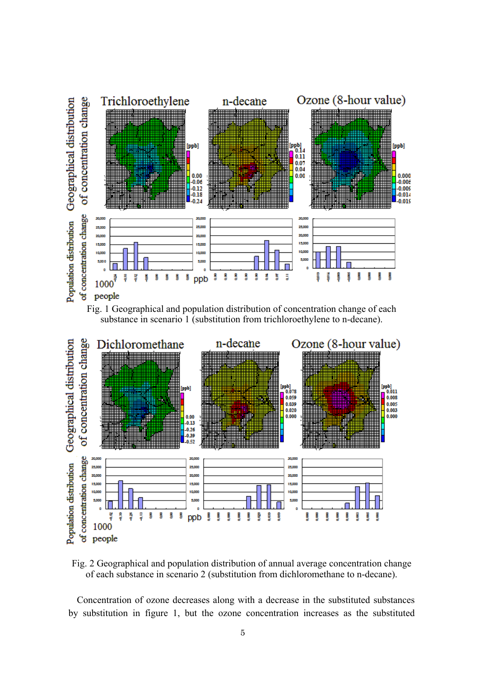



Fig. 2 Geographical and population distribution of annual average concentration change of each substance in scenario 2 (substitution from dichloromethane to n-decane).

Concentration of ozone decreases along with a decrease in the substituted substances by substitution in figure 1, but the ozone concentration increases as the substituted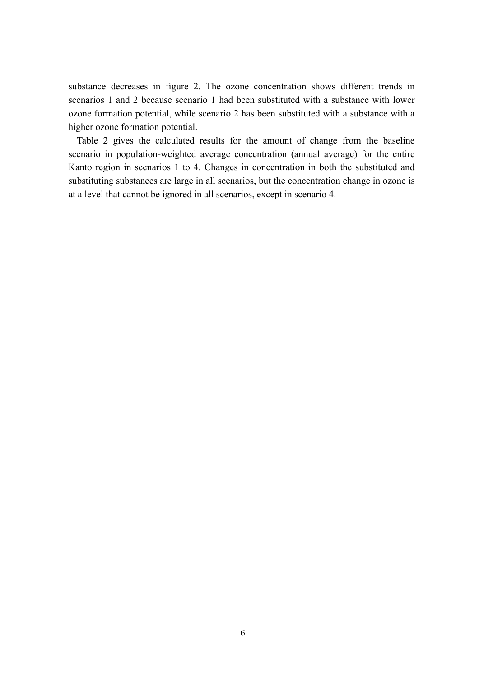substance decreases in figure 2. The ozone concentration shows different trends in scenarios 1 and 2 because scenario 1 had been substituted with a substance with lower ozone formation potential, while scenario 2 has been substituted with a substance with a higher ozone formation potential.

Table 2 gives the calculated results for the amount of change from the baseline scenario in population-weighted average concentration (annual average) for the entire Kanto region in scenarios 1 to 4. Changes in concentration in both the substituted and substituting substances are large in all scenarios, but the concentration change in ozone is at a level that cannot be ignored in all scenarios, except in scenario 4.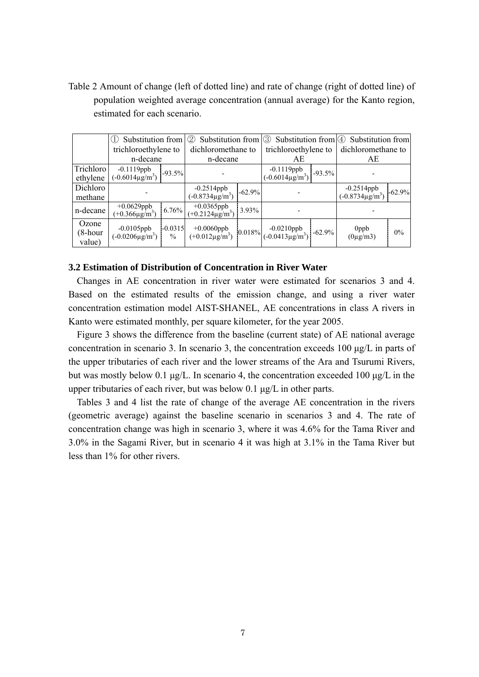Table 2 Amount of change (left of dotted line) and rate of change (right of dotted line) of population weighted average concentration (annual average) for the Kanto region, estimated for each scenario.

|                                    | Substitution from                           |                            | Substitution from $\sqrt{3}$<br>$\circled{2}$      |       | Substitution from $(4)$ Substitution from               |  |                                        |          |
|------------------------------------|---------------------------------------------|----------------------------|----------------------------------------------------|-------|---------------------------------------------------------|--|----------------------------------------|----------|
|                                    | trichloroethylene to                        |                            | dichloromethane to                                 |       | trichloroethylene to                                    |  | dichloromethane to                     |          |
|                                    | n-decane                                    |                            | n-decane                                           |       | AE                                                      |  | АE                                     |          |
| Trichloro <sup>1</sup><br>ethylene | $-0.1119$ ppb<br>$(-0.6014\mu\text{g/m}^3)$ | $-93.5%$                   |                                                    |       | $-0.1119$ ppb<br>$(-0.6014\mu\text{g/m}^3)$<br>$-93.5%$ |  |                                        |          |
| Dichloro<br>methane                |                                             |                            | $-0.2514$ ppb<br>$(-0.8734 \mu g/m^3)$<br>$-62.9%$ |       |                                                         |  | $-0.2514$ ppb<br>$(-0.8734 \mu g/m^3)$ | $-62.9%$ |
| n-decane                           | +0.0629ppb<br>$(+0.366\mu\text{g/m}^3)$     | 6.76%                      | +0.0365ppb<br>(+0.2124 $\mu$ g/m <sup>3</sup> )    | 3.93% |                                                         |  |                                        |          |
| Ozone<br>(8-hour<br>value)         | $-0.0105$ ppb<br>$(-0.0206 \mu g/m^3)$      | $-0.0315$<br>$\frac{0}{0}$ | +0.0060ppb<br>$(+0.012 \mu g/m^3)$                 |       | $\left  0.018\% \right $ -0.0210ppb -62.9%              |  | 0ppb<br>$(0\mu g/m3)$                  | 0%       |

#### **3.2 Estimation of Distribution of Concentration in River Water**

Changes in AE concentration in river water were estimated for scenarios 3 and 4. Based on the estimated results of the emission change, and using a river water concentration estimation model AIST-SHANEL, AE concentrations in class A rivers in Kanto were estimated monthly, per square kilometer, for the year 2005.

Figure 3 shows the difference from the baseline (current state) of AE national average concentration in scenario 3. In scenario 3, the concentration exceeds 100 μg/L in parts of the upper tributaries of each river and the lower streams of the Ara and Tsurumi Rivers, but was mostly below 0.1 μg/L. In scenario 4, the concentration exceeded 100 μg/L in the upper tributaries of each river, but was below 0.1 μg/L in other parts.

Tables 3 and 4 list the rate of change of the average AE concentration in the rivers (geometric average) against the baseline scenario in scenarios 3 and 4. The rate of concentration change was high in scenario 3, where it was 4.6% for the Tama River and 3.0% in the Sagami River, but in scenario 4 it was high at 3.1% in the Tama River but less than 1% for other rivers.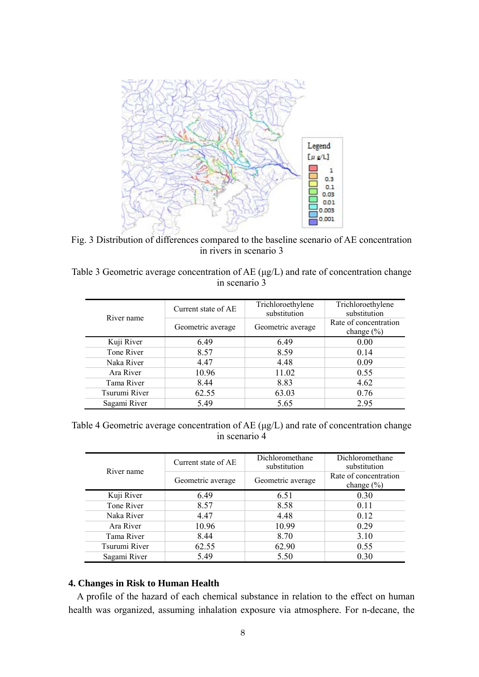

Fig. 3 Distribution of differences compared to the baseline scenario of AE concentration in rivers in scenario 3

Table 3 Geometric average concentration of AE (μg/L) and rate of concentration change in scenario 3

| River name    | Current state of AE | Trichloroethylene<br>substitution | Trichloroethylene<br>substitution       |
|---------------|---------------------|-----------------------------------|-----------------------------------------|
|               | Geometric average   | Geometric average                 | Rate of concentration<br>change $(\% )$ |
| Kuji River    | 6.49                | 6.49                              | 0.00                                    |
| Tone River    | 8.57                | 8.59                              | 0.14                                    |
| Naka River    | 4.47                | 4.48                              | 0.09                                    |
| Ara River     | 10.96               | 11.02                             | 0.55                                    |
| Tama River    | 8.44                | 8.83                              | 4.62                                    |
| Tsurumi River | 62.55               | 63.03                             | 0.76                                    |
| Sagami River  | 5.49                | 5.65                              | 2.95                                    |

Table 4 Geometric average concentration of AE (μg/L) and rate of concentration change in scenario 4

| River name    | Current state of AE | Dichloromethane<br>substitution | Dichloromethane<br>substitution         |
|---------------|---------------------|---------------------------------|-----------------------------------------|
|               | Geometric average   | Geometric average               | Rate of concentration<br>change $(\% )$ |
| Kuji River    | 6.49                | 6.51                            | 0.30                                    |
| Tone River    | 8.57                | 8.58                            | 0.11                                    |
| Naka River    | 4.47                | 4.48                            | 0.12                                    |
| Ara River     | 10.96               | 10.99                           | 0.29                                    |
| Tama River    | 8.44                | 8.70                            | 3.10                                    |
| Tsurumi River | 62.55               | 62.90                           | 0.55                                    |
| Sagami River  | 5.49                | 5.50                            | 0.30                                    |

#### **4. Changes in Risk to Human Health**

A profile of the hazard of each chemical substance in relation to the effect on human health was organized, assuming inhalation exposure via atmosphere. For n-decane, the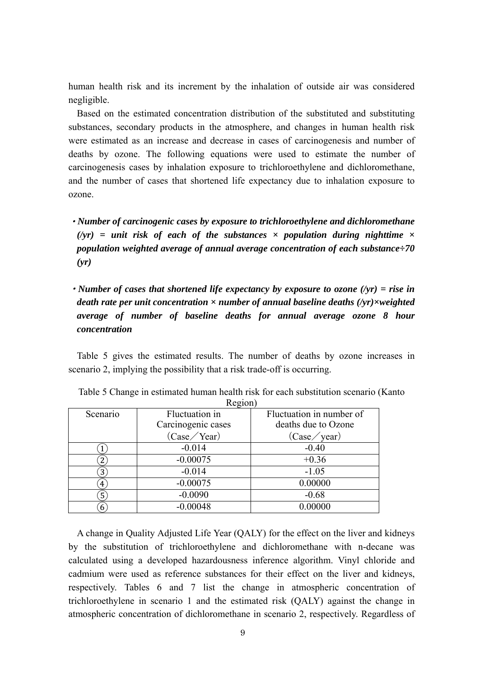human health risk and its increment by the inhalation of outside air was considered negligible.

Based on the estimated concentration distribution of the substituted and substituting substances, secondary products in the atmosphere, and changes in human health risk were estimated as an increase and decrease in cases of carcinogenesis and number of deaths by ozone. The following equations were used to estimate the number of carcinogenesis cases by inhalation exposure to trichloroethylene and dichloromethane, and the number of cases that shortened life expectancy due to inhalation exposure to ozone.

- ・*Number of carcinogenic cases by exposure to trichloroethylene and dichloromethane*   $(yr)$  = unit risk of each of the substances  $\times$  population during nighttime  $\times$ *population weighted average of annual average concentration of each substance÷70 (yr)*
- ・*Number of cases that shortened life expectancy by exposure to ozone (/yr) = rise in death rate per unit concentration × number of annual baseline deaths (/yr)×weighted average of number of baseline deaths for annual average ozone 8 hour concentration*

Table 5 gives the estimated results. The number of deaths by ozone increases in scenario 2, implying the possibility that a risk trade-off is occurring.

|          | $   -$             |                          |
|----------|--------------------|--------------------------|
| Scenario | Fluctuation in     | Fluctuation in number of |
|          | Carcinogenic cases | deaths due to Ozone      |
|          | (Case / Year)      | (Case / year)            |
|          | $-0.014$           | $-0.40$                  |
|          | $-0.00075$         | $+0.36$                  |
| 3        | $-0.014$           | $-1.05$                  |
| 4        | $-0.00075$         | 0.00000                  |
| 5        | $-0.0090$          | $-0.68$                  |
| 6        | $-0.00048$         | 0.00000                  |

Table 5 Change in estimated human health risk for each substitution scenario (Kanto  $R$ egion)

A change in Quality Adjusted Life Year (QALY) for the effect on the liver and kidneys by the substitution of trichloroethylene and dichloromethane with n-decane was calculated using a developed hazardousness inference algorithm. Vinyl chloride and cadmium were used as reference substances for their effect on the liver and kidneys, respectively. Tables 6 and 7 list the change in atmospheric concentration of trichloroethylene in scenario 1 and the estimated risk (QALY) against the change in atmospheric concentration of dichloromethane in scenario 2, respectively. Regardless of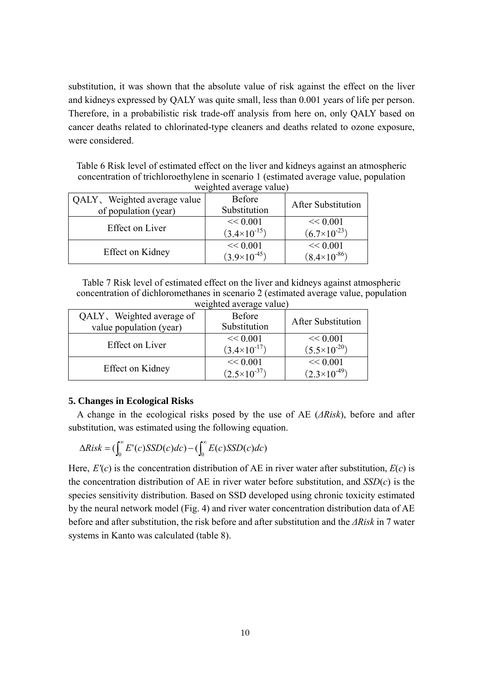substitution, it was shown that the absolute value of risk against the effect on the liver and kidneys expressed by QALY was quite small, less than 0.001 years of life per person. Therefore, in a probabilistic risk trade-off analysis from here on, only QALY based on cancer deaths related to chlorinated-type cleaners and deaths related to ozone exposure, were considered.

Table 6 Risk level of estimated effect on the liver and kidneys against an atmospheric concentration of trichloroethylene in scenario 1 (estimated average value, population weighted average value)

| QALY, Weighted average value<br>of population (year) | <b>Before</b><br>Substitution     | <b>After Substitution</b>         |
|------------------------------------------------------|-----------------------------------|-----------------------------------|
| <b>Effect on Liver</b>                               | << 0.001<br>$(3.4\times10^{-15})$ | << 0.001<br>$(6.7\times10^{-23})$ |
| Effect on Kidney                                     | << 0.001<br>$(3.9\times10^{-45})$ | << 0.001<br>$(8.4\times10^{-86})$ |

Table 7 Risk level of estimated effect on the liver and kidneys against atmospheric concentration of dichloromethanes in scenario 2 (estimated average value, population weighted average value)

|                                                      | $\ldots$ eighteen $\alpha \cdot \text{error}$ , and $\alpha$ |                                   |
|------------------------------------------------------|--------------------------------------------------------------|-----------------------------------|
| QALY, Weighted average of<br>value population (year) | <b>Before</b><br>Substitution                                | <b>After Substitution</b>         |
| <b>Effect on Liver</b>                               | << 0.001<br>$(3.4\times10^{-17})$                            | << 0.001<br>$(5.5\times10^{-20})$ |
| Effect on Kidney                                     | << 0.001<br>$(2.5\times10^{-37})$                            | << 0.001<br>$(2.3\times10^{-49})$ |

#### **5. Changes in Ecological Risks**

A change in the ecological risks posed by the use of AE (*ΔRisk*), before and after substitution, was estimated using the following equation.

$$
\Delta Risk = (\int_0^\infty E'(c)SSD(c)dc) - (\int_0^\infty E(c)SSD(c)dc)
$$

Here,  $E'(c)$  is the concentration distribution of AE in river water after substitution,  $E(c)$  is the concentration distribution of AE in river water before substitution, and *SSD*(*c*) is the species sensitivity distribution. Based on SSD developed using chronic toxicity estimated by the neural network model (Fig. 4) and river water concentration distribution data of AE before and after substitution, the risk before and after substitution and the *ΔRisk* in 7 water systems in Kanto was calculated (table 8).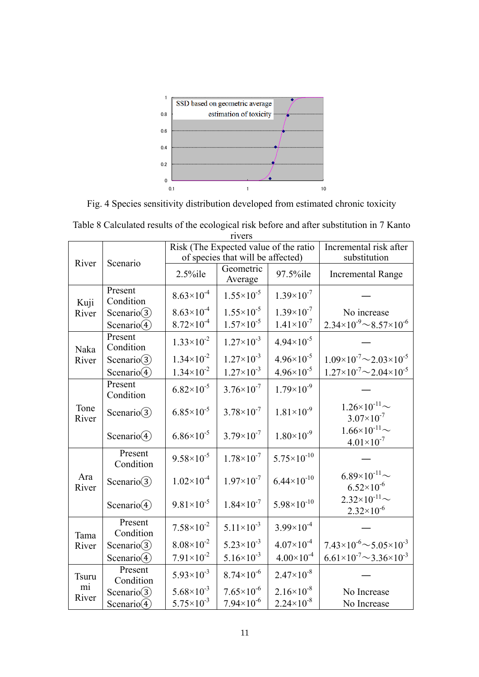

Fig. 4 Species sensitivity distribution developed from estimated chronic toxicity

|               | <b>TIVETS</b>        |                       |                                                                            |                                        |                                                      |  |  |
|---------------|----------------------|-----------------------|----------------------------------------------------------------------------|----------------------------------------|------------------------------------------------------|--|--|
|               |                      |                       | Risk (The Expected value of the ratio<br>of species that will be affected) | Incremental risk after<br>substitution |                                                      |  |  |
| River         | Scenario             | $2.5\%$ ile           | Geometric<br>Average                                                       | 97.5%ile                               | <b>Incremental Range</b>                             |  |  |
| Kuji          | Present<br>Condition | $8.63\times10^{-4}$   | $1.55 \times 10^{-5}$                                                      | $1.39\times10^{-7}$                    |                                                      |  |  |
| River         | Scenario(3)          | $8.63\times10^{-4}$   | $1.55 \times 10^{-5}$                                                      | $1.39\times10^{-7}$                    | No increase                                          |  |  |
|               | Scenario $(4)$       | $8.72 \times 10^{-4}$ | $1.57\times10^{-5}$                                                        | $1.41 \times 10^{-7}$                  | $2.34\times10^{-9}$ ~ 8.57×10 <sup>-6</sup>          |  |  |
| Naka          | Present<br>Condition | $1.33 \times 10^{-2}$ | $1.27 \times 10^{-3}$                                                      | $4.94 \times 10^{-5}$                  |                                                      |  |  |
| River         | Scenario(3)          | $1.34 \times 10^{-2}$ | $1.27 \times 10^{-3}$                                                      | $4.96 \times 10^{-5}$                  | $1.09\times10^{-7}$ ~ 2.03 × 10 <sup>-5</sup>        |  |  |
|               | Scenario $(4)$       | $1.34 \times 10^{-2}$ | $1.27 \times 10^{-3}$                                                      | $4.96 \times 10^{-5}$                  | $1.27\times10^{-7}$ ~ 2.04 × 10 <sup>-5</sup>        |  |  |
|               | Present<br>Condition | $6.82\times10^{-5}$   | $3.76 \times 10^{-7}$                                                      | $1.79\times10^{-9}$                    |                                                      |  |  |
| Tone<br>River | Scenario $(3)$       | $6.85\times10^{-5}$   | $3.78 \times 10^{-7}$                                                      | $1.81\times10^{-9}$                    | $1.26 \times 10^{-11}$ ~<br>$3.07 \times 10^{-7}$    |  |  |
|               | Scenario $(4)$       | $6.86 \times 10^{-5}$ | $3.79\times10^{-7}$                                                        | $1.80\times10^{-9}$                    | $1.66\times10^{-11}$ $\sim$<br>$4.01 \times 10^{-7}$ |  |  |
|               | Present<br>Condition | $9.58 \times 10^{-5}$ | $1.78\times10^{-7}$                                                        | $5.75 \times 10^{-10}$                 |                                                      |  |  |
| Ara<br>River  | Scenario $(3)$       | $1.02\times10^{-4}$   | $1.97\times10^{-7}$                                                        | $6.44 \times 10^{-10}$                 | $6.89\times10^{-11}$ $\sim$<br>$6.52\times10^{-6}$   |  |  |
|               | Scenario $(4)$       | $9.81\times10^{-5}$   | $1.84\times10^{-7}$                                                        | $5.98 \times 10^{-10}$                 | $2.32 \times 10^{-11}$ ~<br>$2.32\times10^{-6}$      |  |  |
| Tama          | Present<br>Condition | $7.58 \times 10^{-2}$ | $5.11 \times 10^{-3}$                                                      | $3.99 \times 10^{-4}$                  |                                                      |  |  |
| River         | Scenario(3)          | $8.08 \times 10^{-2}$ | $5.23 \times 10^{-3}$                                                      | $4.07\times10^{-4}$                    | $7.43\times10^{-6}$ $\sim$ 5.05 $\times10^{-3}$      |  |  |
|               | Scenario $(4)$       | $7.91 \times 10^{-2}$ | $5.16 \times 10^{-3}$                                                      | $4.00\times10^{-4}$                    | $6.61\times10^{-7}$ $\sim$ 3.36 $\times10^{-3}$      |  |  |
| <b>Tsuru</b>  | Present<br>Condition | $5.93\times10^{-3}$   | $8.74\times10^{-6}$                                                        | $2.47\times10^{-8}$                    |                                                      |  |  |
| mi<br>River   | Scenario(3)          | $5.68 \times 10^{-3}$ | $7.65 \times 10^{-6}$                                                      | $2.16 \times 10^{-8}$                  | No Increase                                          |  |  |
|               | Scenario $(4)$       | $5.75 \times 10^{-3}$ | $7.94\times10^{-6}$                                                        | $2.24 \times 10^{-8}$                  | No Increase                                          |  |  |

Table 8 Calculated results of the ecological risk before and after substitution in 7 Kanto rivers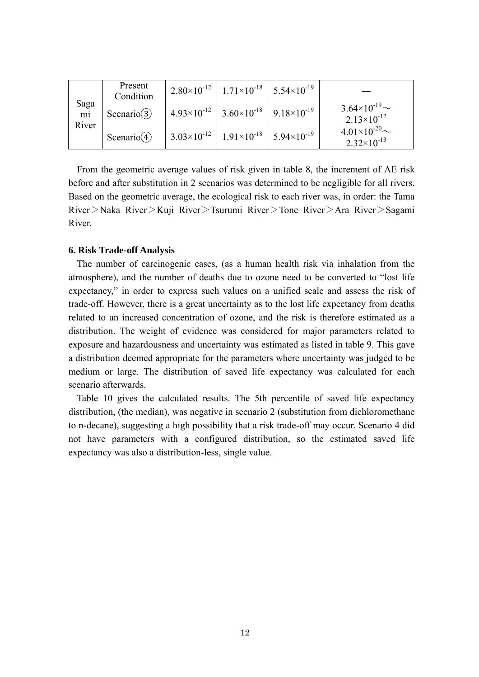|            | Present<br>Condition      | $2.80\times10^{-12}$ 1.71×10 <sup>-18</sup> 5.54×10 <sup>-19</sup> |                                                |
|------------|---------------------------|--------------------------------------------------------------------|------------------------------------------------|
| Saga<br>mi | Scenario $(3)$            | $4.93\times10^{-12}$ 3.60 $\times10^{-18}$ 9.18 $\times10^{-19}$   | $3.64\times10^{-19}$ ~<br>$2.13\times10^{-12}$ |
| River      | Scenario $\left(4\right)$ | $3.03\times10^{-12}$   $1.91\times10^{-18}$   $5.94\times10^{-19}$ | $4.01\times10^{-20}$ ~<br>$2.32\times10^{-13}$ |

From the geometric average values of risk given in table 8, the increment of AE risk before and after substitution in 2 scenarios was determined to be negligible for all rivers. Based on the geometric average, the ecological risk to each river was, in order: the Tama River>Naka River>Kuji River>Tsurumi River>Tone River>Ara River>Sagami River.

#### **6. Risk Trade-off Analysis**

The number of carcinogenic cases, (as a human health risk via inhalation from the atmosphere), and the number of deaths due to ozone need to be converted to "lost life expectancy," in order to express such values on a unified scale and assess the risk of trade-off. However, there is a great uncertainty as to the lost life expectancy from deaths related to an increased concentration of ozone, and the risk is therefore estimated as a distribution. The weight of evidence was considered for major parameters related to exposure and hazardousness and uncertainty was estimated as listed in table 9. This gave a distribution deemed appropriate for the parameters where uncertainty was judged to be medium or large. The distribution of saved life expectancy was calculated for each scenario afterwards.

Table 10 gives the calculated results. The 5th percentile of saved life expectancy distribution, (the median), was negative in scenario 2 (substitution from dichloromethane to n-decane), suggesting a high possibility that a risk trade-off may occur. Scenario 4 did not have parameters with a configured distribution, so the estimated saved life expectancy was also a distribution-less, single value.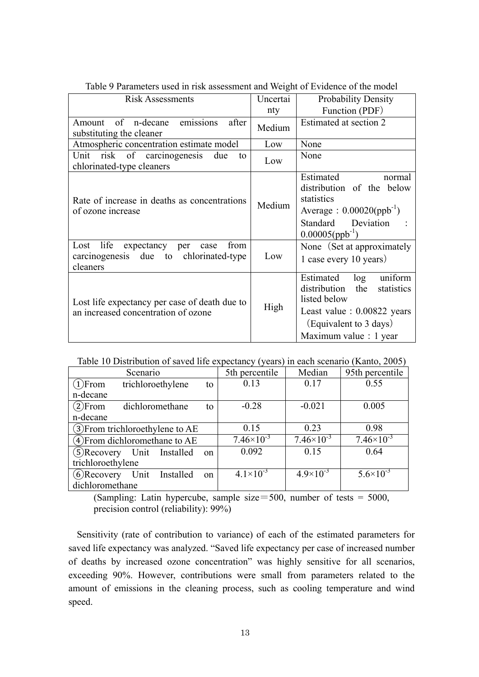| <b>Risk Assessments</b>                                                                              | Uncertai | Probability Density                                                                                                                                                   |
|------------------------------------------------------------------------------------------------------|----------|-----------------------------------------------------------------------------------------------------------------------------------------------------------------------|
|                                                                                                      | nty      | Function (PDF)                                                                                                                                                        |
| of n-decane<br>after<br>Amount<br>emissions<br>substituting the cleaner                              | Medium   | Estimated at section 2                                                                                                                                                |
| Atmospheric concentration estimate model                                                             | Low      | None                                                                                                                                                                  |
| Unit risk of carcinogenesis<br>due<br>to<br>chlorinated-type cleaners                                | Low      | None                                                                                                                                                                  |
| Rate of increase in deaths as concentrations<br>of ozone increase                                    | Medium   | Estimated<br>normal<br>distribution of the below<br>statistics<br>Average: $0.00020(ppb^{-1})$<br>Standard Deviation<br>$0.00005 (ppb^{-1})$                          |
| life<br>expectancy per<br>Lost<br>from<br>case<br>carcinogenesis due to chlorinated-type<br>cleaners | Low      | None (Set at approximately<br>1 case every 10 years)                                                                                                                  |
| Lost life expectancy per case of death due to<br>an increased concentration of ozone                 | High     | uniform<br>Estimated<br>log<br>distribution<br>the<br>statistics<br>listed below<br>Least value $: 0.00822$ years<br>(Equivalent to 3 days)<br>Maximum value : 1 year |

Table 9 Parameters used in risk assessment and Weight of Evidence of the model

Table 10 Distribution of saved life expectancy (years) in each scenario (Kanto, 2005)

| Scenario                         |  |                   |    | 5th percentile       | Median              | 95th percentile       |
|----------------------------------|--|-------------------|----|----------------------|---------------------|-----------------------|
| $(1)$ From                       |  | trichloroethylene | to | 0.13                 | 0.17                | 0.55                  |
| n-decane                         |  |                   |    |                      |                     |                       |
| $(2)$ From                       |  | dichloromethane   | to | $-0.28$              | $-0.021$            | 0.005                 |
| n-decane                         |  |                   |    |                      |                     |                       |
| 3) From trichloroethylene to AE  |  |                   |    | 0.15                 | 0.23                | 0.98                  |
| $(4)$ From dichloromethane to AE |  |                   |    | 7.46 $\times10^{-3}$ | $7.46\times10^{-3}$ | $7.46 \times 10^{-3}$ |
| (5) Recovery Unit Installed      |  |                   | on | 0.092                | 0.15                | 0.64                  |
| trichloroethylene                |  |                   |    |                      |                     |                       |
| $(6)$ Recovery                   |  | Unit Installed    | on | $4.1 \times 10^{-3}$ | $4.9\times10^{-3}$  | $5.6 \times 10^{-3}$  |
| dichloromethane                  |  |                   |    |                      |                     |                       |

(Sampling: Latin hypercube, sample size=500, number of tests =  $5000$ , precision control (reliability): 99%)

Sensitivity (rate of contribution to variance) of each of the estimated parameters for saved life expectancy was analyzed. "Saved life expectancy per case of increased number of deaths by increased ozone concentration" was highly sensitive for all scenarios, exceeding 90%. However, contributions were small from parameters related to the amount of emissions in the cleaning process, such as cooling temperature and wind speed.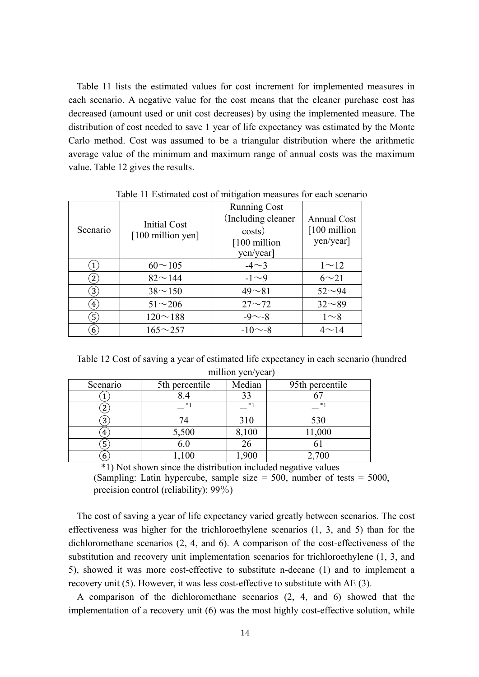Table 11 lists the estimated values for cost increment for implemented measures in each scenario. A negative value for the cost means that the cleaner purchase cost has decreased (amount used or unit cost decreases) by using the implemented measure. The distribution of cost needed to save 1 year of life expectancy was estimated by the Monte Carlo method. Cost was assumed to be a triangular distribution where the arithmetic average value of the minimum and maximum range of annual costs was the maximum value. Table 12 gives the results.

| Scenario               | <b>Initial Cost</b><br>[100 million yen] | <b>Running Cost</b><br>(Including cleaner)<br>costs)<br>[100 million]<br>yen/year] | <b>Annual Cost</b><br>[100 million]<br>yen/year] |
|------------------------|------------------------------------------|------------------------------------------------------------------------------------|--------------------------------------------------|
| $\mathbf{1}$           | $60 \sim 105$                            | $-4\sim3$                                                                          | $1^{\sim}12$                                     |
| $\left 2\right\rangle$ | $82^{\sim}144$                           | $-1\sim9$                                                                          | $6 \sim 21$                                      |
| $\left(3\right)$       | $38^{\sim}150$                           | $49 - 81$                                                                          | $52 - 94$                                        |
| $\left( 4\right)$      | $51 - 206$                               | $27 - 72$                                                                          | $32 - 89$                                        |
| $\mathbf{5}$           | $120 \sim 188$                           | $-9 - -8$                                                                          | $1\sim8$                                         |
| 6                      | $165 \sim 257$                           | $-10$ $\sim$ -8                                                                    | $4 \sim 14$                                      |

Table 11 Estimated cost of mitigation measures for each scenario

Table 12 Cost of saving a year of estimated life expectancy in each scenario (hundred million yen/year)

| Scenario | 5th percentile | Median | 95th percentile |  |  |
|----------|----------------|--------|-----------------|--|--|
|          |                | 33     |                 |  |  |
|          | *              | $*1$   | *               |  |  |
| 3        |                | 310    | 530             |  |  |
| 4        | 5,500          | 8,100  | 11,000          |  |  |
| 5        | 6.0            | 26     |                 |  |  |
| 6        | ,100           | ,900   | 2,700           |  |  |

\*1) Not shown since the distribution included negative values

(Sampling: Latin hypercube, sample size  $= 500$ , number of tests  $= 5000$ , precision control (reliability): 99%)

The cost of saving a year of life expectancy varied greatly between scenarios. The cost effectiveness was higher for the trichloroethylene scenarios (1, 3, and 5) than for the dichloromethane scenarios (2, 4, and 6). A comparison of the cost-effectiveness of the substitution and recovery unit implementation scenarios for trichloroethylene (1, 3, and 5), showed it was more cost-effective to substitute n-decane (1) and to implement a recovery unit (5). However, it was less cost-effective to substitute with AE (3).

A comparison of the dichloromethane scenarios (2, 4, and 6) showed that the implementation of a recovery unit (6) was the most highly cost-effective solution, while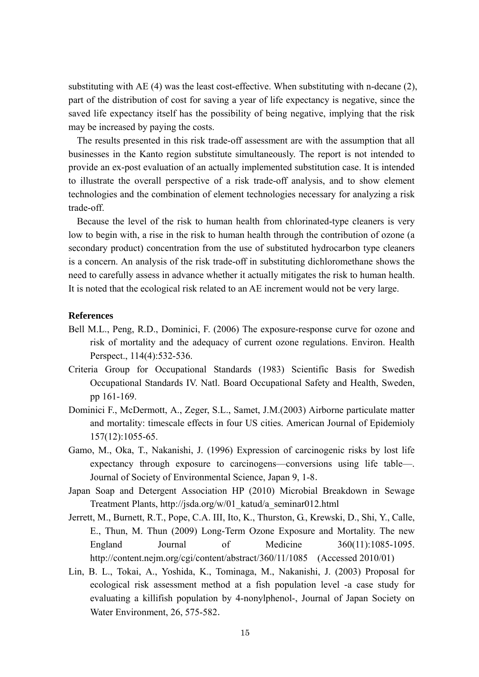substituting with AE  $(4)$  was the least cost-effective. When substituting with n-decane  $(2)$ , part of the distribution of cost for saving a year of life expectancy is negative, since the saved life expectancy itself has the possibility of being negative, implying that the risk may be increased by paying the costs.

The results presented in this risk trade-off assessment are with the assumption that all businesses in the Kanto region substitute simultaneously. The report is not intended to provide an ex-post evaluation of an actually implemented substitution case. It is intended to illustrate the overall perspective of a risk trade-off analysis, and to show element technologies and the combination of element technologies necessary for analyzing a risk trade-off.

Because the level of the risk to human health from chlorinated-type cleaners is very low to begin with, a rise in the risk to human health through the contribution of ozone (a secondary product) concentration from the use of substituted hydrocarbon type cleaners is a concern. An analysis of the risk trade-off in substituting dichloromethane shows the need to carefully assess in advance whether it actually mitigates the risk to human health. It is noted that the ecological risk related to an AE increment would not be very large.

#### **References**

- Bell M.L., Peng, R.D., Dominici, F. (2006) The exposure-response curve for ozone and risk of mortality and the adequacy of current ozone regulations. Environ. Health Perspect., 114(4):532-536.
- Criteria Group for Occupational Standards (1983) Scientific Basis for Swedish Occupational Standards IV. Natl. Board Occupational Safety and Health, Sweden, pp 161-169.
- Dominici F., McDermott, A., Zeger, S.L., Samet, J.M.(2003) Airborne particulate matter and mortality: timescale effects in four US cities. American Journal of Epidemioly 157(12):1055-65.
- Gamo, M., Oka, T., Nakanishi, J. (1996) Expression of carcinogenic risks by lost life expectancy through exposure to carcinogens—conversions using life table—. Journal of Society of Environmental Science, Japan 9, 1-8.
- Japan Soap and Detergent Association HP (2010) Microbial Breakdown in Sewage Treatment Plants, http://jsda.org/w/01\_katud/a\_seminar012.html
- Jerrett, M., Burnett, R.T., Pope, C.A. III, Ito, K., Thurston, G., Krewski, D., Shi, Y., Calle, E., Thun, M. Thun (2009) Long-Term Ozone Exposure and Mortality. The new England Journal of Medicine 360(11):1085-1095. http://content.nejm.org/cgi/content/abstract/360/11/1085 (Accessed 2010/01)
- Lin, B. L., Tokai, A., Yoshida, K., Tominaga, M., Nakanishi, J. (2003) Proposal for ecological risk assessment method at a fish population level -a case study for evaluating a killifish population by 4-nonylphenol-, Journal of Japan Society on Water Environment, 26, 575-582.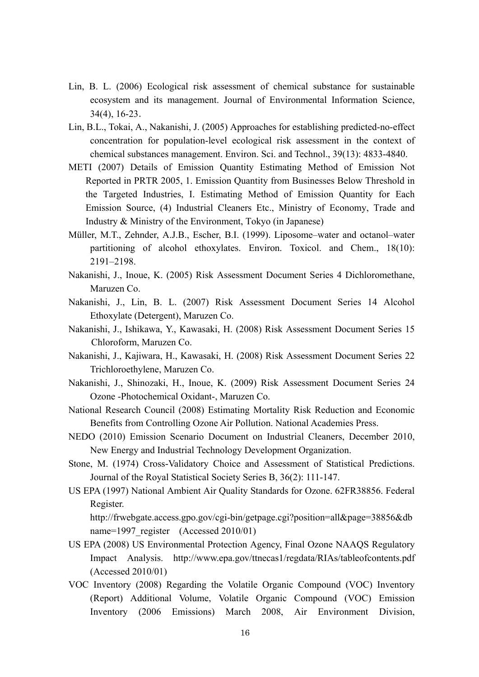- Lin, B. L. (2006) Ecological risk assessment of chemical substance for sustainable ecosystem and its management. Journal of Environmental Information Science, 34(4), 16-23.
- Lin, B.L., Tokai, A., Nakanishi, J. (2005) Approaches for establishing predicted-no-effect concentration for population-level ecological risk assessment in the context of chemical substances management. Environ. Sci. and Technol., 39(13): 4833-4840.
- METI (2007) Details of Emission Quantity Estimating Method of Emission Not Reported in PRTR 2005, 1. Emission Quantity from Businesses Below Threshold in the Targeted Industries, I. Estimating Method of Emission Quantity for Each Emission Source, (4) Industrial Cleaners Etc., Ministry of Economy, Trade and Industry & Ministry of the Environment, Tokyo (in Japanese)
- Müller, M.T., Zehnder, A.J.B., Escher, B.I. (1999). Liposome–water and octanol–water partitioning of alcohol ethoxylates. Environ. Toxicol. and Chem., 18(10): 2191–2198.
- Nakanishi, J., Inoue, K. (2005) Risk Assessment Document Series 4 Dichloromethane, Maruzen Co.
- Nakanishi, J., Lin, B. L. (2007) Risk Assessment Document Series 14 Alcohol Ethoxylate (Detergent), Maruzen Co.
- Nakanishi, J., Ishikawa, Y., Kawasaki, H. (2008) Risk Assessment Document Series 15 Chloroform, Maruzen Co.
- Nakanishi, J., Kajiwara, H., Kawasaki, H. (2008) Risk Assessment Document Series 22 Trichloroethylene, Maruzen Co.
- Nakanishi, J., Shinozaki, H., Inoue, K. (2009) Risk Assessment Document Series 24 Ozone -Photochemical Oxidant-, Maruzen Co.
- National Research Council (2008) Estimating Mortality Risk Reduction and Economic Benefits from Controlling Ozone Air Pollution. National Academies Press.
- NEDO (2010) Emission Scenario Document on Industrial Cleaners, December 2010, New Energy and Industrial Technology Development Organization.
- Stone, M. (1974) Cross-Validatory Choice and Assessment of Statistical Predictions. Journal of the Royal Statistical Society Series B, 36(2): 111-147.
- US EPA (1997) National Ambient Air Quality Standards for Ozone. 62FR38856. Federal Register.

http://frwebgate.access.gpo.gov/cgi-bin/getpage.cgi?position=all&page=38856&db name=1997 register (Accessed 2010/01)

- US EPA (2008) US Environmental Protection Agency, Final Ozone NAAQS Regulatory Impact Analysis. http://www.epa.gov/ttnecas1/regdata/RIAs/tableofcontents.pdf (Accessed 2010/01)
- VOC Inventory (2008) Regarding the Volatile Organic Compound (VOC) Inventory (Report) Additional Volume, Volatile Organic Compound (VOC) Emission Inventory (2006 Emissions) March 2008, Air Environment Division,